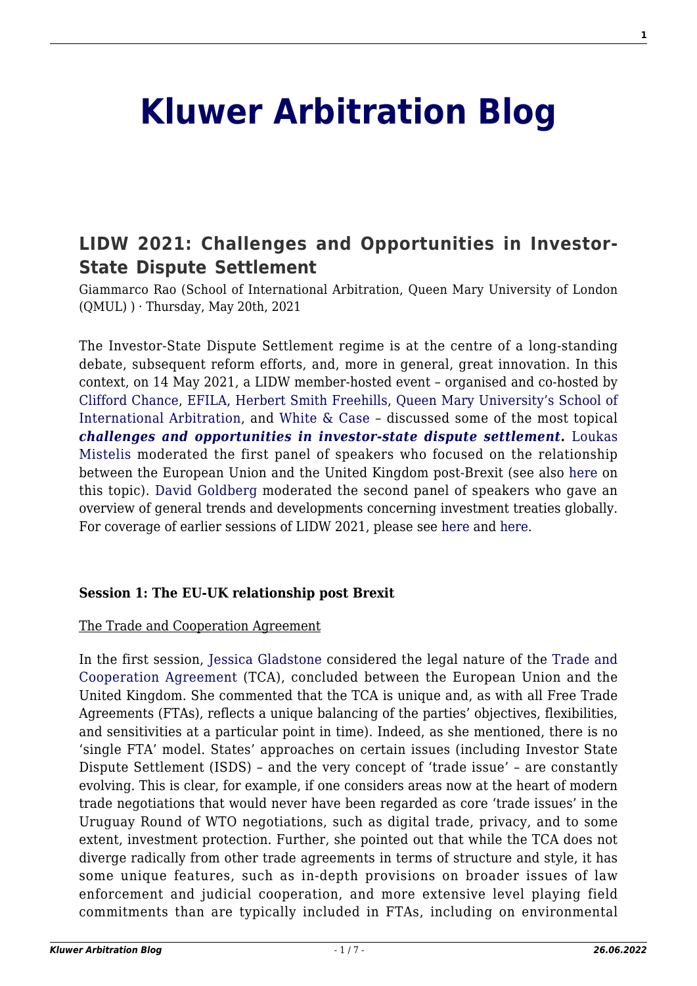# **[Kluwer Arbitration Blog](http://arbitrationblog.kluwerarbitration.com/)**

# **[LIDW 2021: Challenges and Opportunities in Investor-](http://arbitrationblog.kluwerarbitration.com/2021/05/20/lidw-2021-challenges-and-opportunities-in-investor-state-dispute-settlement/)[State Dispute Settlement](http://arbitrationblog.kluwerarbitration.com/2021/05/20/lidw-2021-challenges-and-opportunities-in-investor-state-dispute-settlement/)**

Giammarco Rao (School of International Arbitration, Queen Mary University of London  $(QMUL)$ ) · Thursday, May 20th, 2021

The Investor-State Dispute Settlement regime is at the centre of a long-standing debate, subsequent reform efforts, and, more in general, great innovation. In this context, on 14 May 2021, a LIDW member-hosted event – organised and co-hosted by [Clifford Chance,](https://www.cliffordchance.com/home.html) [EFILA,](https://efila.org/) [Herbert Smith Freehills](https://www.herbertsmithfreehills.com/), [Queen Mary University's School of](http://www.arbitration.qmul.ac.uk/) [International Arbitration,](http://www.arbitration.qmul.ac.uk/) and [White & Case](https://www.whitecase.com/) – discussed some of the most topical *[challenges and opportunities in investor-state dispute settlement](https://2021.lidw.co.uk/agenda/friday-14-may-2021-member-hosted-events/)***.** [Loukas](https://www.qmul.ac.uk/law/people/academic-staff/items/mistelis.html) [Mistelis](https://www.qmul.ac.uk/law/people/academic-staff/items/mistelis.html) moderated the first panel of speakers who focused on the relationship between the European Union and the United Kingdom post-Brexit (see also [here](http://arbitrationblog.kluwerarbitration.com/2021/01/09/investment-protection-in-the-eu-uk-trade-and-cooperation-agreement/) on this topic). [David Goldberg](https://www.whitecase.com/people/david-goldberg) moderated the second panel of speakers who gave an overview of general trends and developments concerning investment treaties globally. For coverage of earlier sessions of LIDW 2021, please see [here](http://arbitrationblog.kluwerarbitration.com/2021/05/13/lidw-2021-corporate-counsel-roundtable-on-the-top-priorities-when-navigating-global-disputes/) and [here](http://arbitrationblog.kluwerarbitration.com/2021/05/10/lidw-2021-london-and-the-new-decentralised-disputes-resolution-landscape/).

# **Session 1: The EU-UK relationship post Brexit**

#### The Trade and Cooperation Agreement

In the first session, [Jessica Gladstone](https://www.cliffordchance.com/people_and_places/people/partners/gb/jessica-gladstone.html) considered the legal nature of the [Trade and](https://assets.publishing.service.gov.uk/government/uploads/system/uploads/attachment_data/file/948119/EU-UK_Trade_and_Cooperation_Agreement_24.12.2020.pdf) [Cooperation Agreement](https://assets.publishing.service.gov.uk/government/uploads/system/uploads/attachment_data/file/948119/EU-UK_Trade_and_Cooperation_Agreement_24.12.2020.pdf) (TCA), concluded between the European Union and the United Kingdom. She commented that the TCA is unique and, as with all Free Trade Agreements (FTAs), reflects a unique balancing of the parties' objectives, flexibilities, and sensitivities at a particular point in time). Indeed, as she mentioned, there is no 'single FTA' model. States' approaches on certain issues (including Investor State Dispute Settlement (ISDS) – and the very concept of 'trade issue' – are constantly evolving. This is clear, for example, if one considers areas now at the heart of modern trade negotiations that would never have been regarded as core 'trade issues' in the Uruguay Round of WTO negotiations, such as digital trade, privacy, and to some extent, investment protection. Further, she pointed out that while the TCA does not diverge radically from other trade agreements in terms of structure and style, it has some unique features, such as in-depth provisions on broader issues of law enforcement and judicial cooperation, and more extensive level playing field commitments than are typically included in FTAs, including on environmental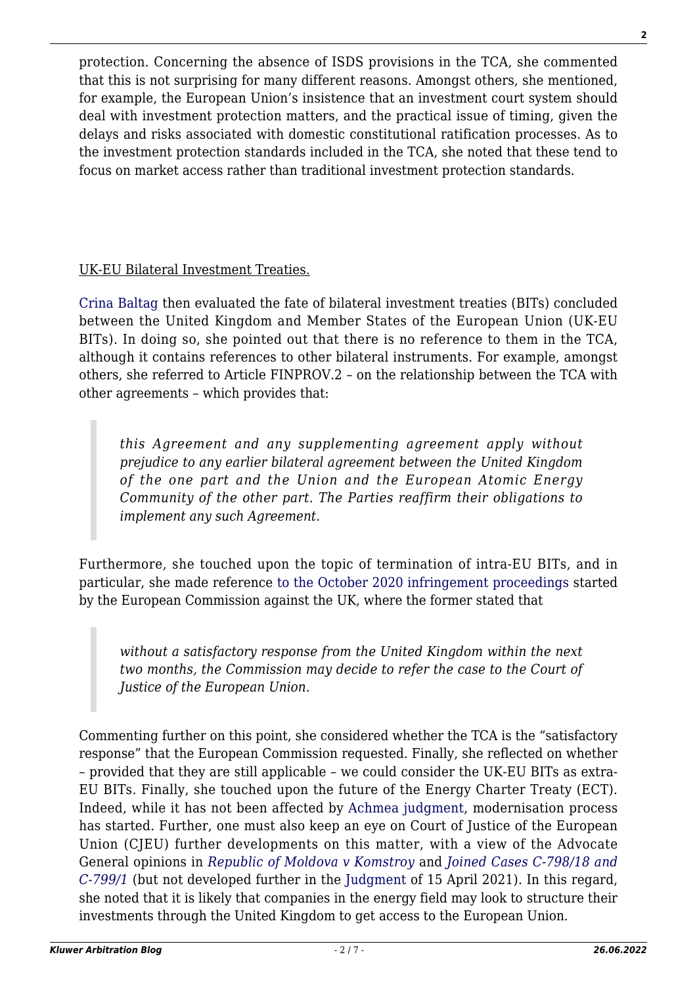protection. Concerning the absence of ISDS provisions in the TCA, she commented that this is not surprising for many different reasons. Amongst others, she mentioned, for example, the European Union's insistence that an investment court system should deal with investment protection matters, and the practical issue of timing, given the delays and risks associated with domestic constitutional ratification processes. As to the investment protection standards included in the TCA, she noted that these tend to focus on market access rather than traditional investment protection standards.

UK-EU Bilateral Investment Treaties.

[Crina Baltag](https://www.su.se/english/profiles/crba2922-1.478903) then evaluated the fate of bilateral investment treaties (BITs) concluded between the United Kingdom and Member States of the European Union (UK-EU BITs). In doing so, she pointed out that there is no reference to them in the TCA, although it contains references to other bilateral instruments. For example, amongst others, she referred to Article FINPROV.2 – on the relationship between the TCA with other agreements – which provides that:

*this Agreement and any supplementing agreement apply without prejudice to any earlier bilateral agreement between the United Kingdom of the one part and the Union and the European Atomic Energy Community of the other part. The Parties reaffirm their obligations to implement any such Agreement*.

Furthermore, she touched upon the topic of termination of intra-EU BITs, and in particular, she made reference [to the October 2020 infringement proceedings](https://ec.europa.eu/commission/presscorner/detail/en/inf_20_1687) started by the European Commission against the UK, where the former stated that

*without a satisfactory response from the United Kingdom within the next two months, the Commission may decide to refer the case to the Court of Justice of the European Union.*

Commenting further on this point, she considered whether the TCA is the "satisfactory response" that the European Commission requested. Finally, she reflected on whether – provided that they are still applicable – we could consider the UK-EU BITs as extra-EU BITs. Finally, she touched upon the future of the Energy Charter Treaty (ECT). Indeed, while it has not been affected by [Achmea judgment](https://curia.europa.eu/juris/liste.jsf?num=C-284/16), modernisation process has started. Further, one must also keep an eye on Court of Justice of the European Union (CJEU) further developments on this matter, with a view of the Advocate General opinions in *[Republic of Moldova v Komstroy](https://eur-lex.europa.eu/legal-content/EN/TXT/?uri=CELEX%3A62019CN0741)* and *[Joined Cases C‑798/18 and](https://curia.europa.eu/juris/document/document.jsf;jsessionid=441CE15E0C8D161B9CD588802B083C25?text=&docid=233043&pageIndex=0&doclang=en&mode=lst&dir=&occ=first&part=1&cid=3240030) [C‑799/1](https://curia.europa.eu/juris/document/document.jsf;jsessionid=441CE15E0C8D161B9CD588802B083C25?text=&docid=233043&pageIndex=0&doclang=en&mode=lst&dir=&occ=first&part=1&cid=3240030)* (but not developed further in the [Judgment](https://curia.europa.eu/juris/document/document.jsf;jsessionid=441CE15E0C8D161B9CD588802B083C25?text=&docid=239885&pageIndex=0&doclang=EN&mode=lst&dir=&occ=first&part=1&cid=3240030) of 15 April 2021). In this regard, she noted that it is likely that companies in the energy field may look to structure their investments through the United Kingdom to get access to the European Union.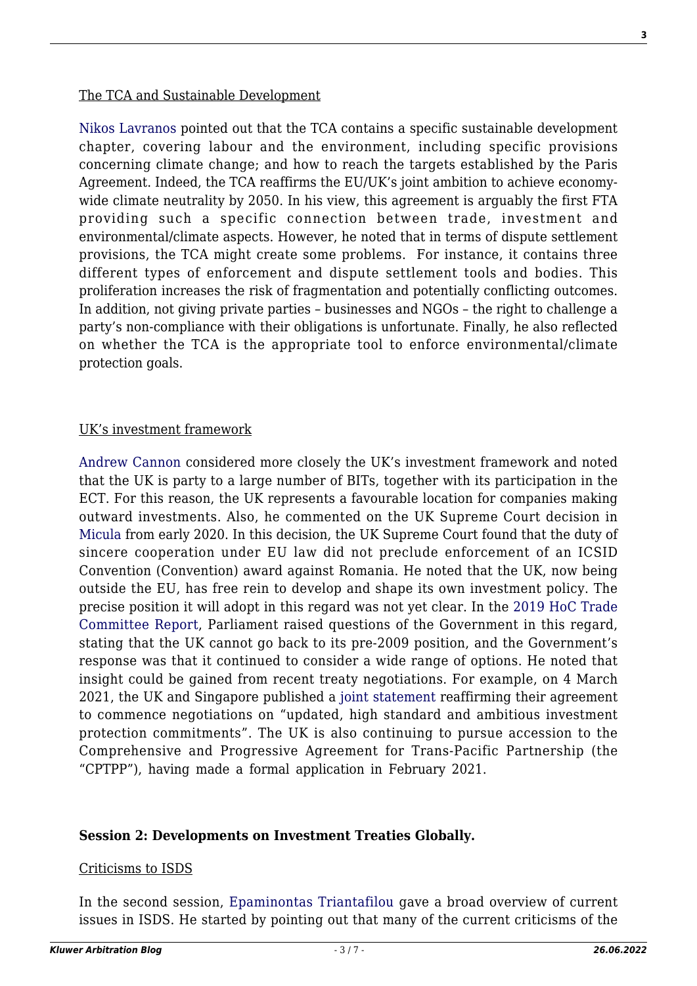[Nikos Lavranos](https://www.nl-investmentconsulting.com/about-nikos-lavranos/) pointed out that the TCA contains a specific sustainable development chapter, covering labour and the environment, including specific provisions concerning climate change; and how to reach the targets established by the Paris Agreement. Indeed, the TCA reaffirms the EU/UK's joint ambition to achieve economywide climate neutrality by 2050. In his view, this agreement is arguably the first FTA providing such a specific connection between trade, investment and environmental/climate aspects. However, he noted that in terms of dispute settlement provisions, the TCA might create some problems. For instance, it contains three different types of enforcement and dispute settlement tools and bodies. This proliferation increases the risk of fragmentation and potentially conflicting outcomes. In addition, not giving private parties – businesses and NGOs – the right to challenge a party's non-compliance with their obligations is unfortunate. Finally, he also reflected on whether the TCA is the appropriate tool to enforce environmental/climate protection goals.

# UK's investment framework

[Andrew Cannon](https://www.herbertsmithfreehills.com/our-people/andrew-cannon) considered more closely the UK's investment framework and noted that the UK is party to a large number of BITs, together with its participation in the ECT. For this reason, the UK represents a favourable location for companies making outward investments. Also, he commented on the UK Supreme Court decision in [Micula](https://hsfnotes.com/publicinternationallaw/tag/micula-v-romania/) from early 2020. In this decision, the UK Supreme Court found that the duty of sincere cooperation under EU law did not preclude enforcement of an ICSID Convention (Convention) award against Romania. He noted that the UK, now being outside the EU, has free rein to develop and shape its own investment policy. The precise position it will adopt in this regard was not yet clear. In the [2019 HoC Trade](https://committees.parliament.uk/committee/367/international-trade-committee/) [Committee Report,](https://committees.parliament.uk/committee/367/international-trade-committee/) Parliament raised questions of the Government in this regard, stating that the UK cannot go back to its pre-2009 position, and the Government's response was that it continued to consider a wide range of options. He noted that insight could be gained from recent treaty negotiations. For example, on 4 March 2021, the UK and Singapore published a [joint statement](https://www.gov.uk/government/publications/singapore-uk-joint-statement-2021-a-partnership-for-the-future/singapore-uk-joint-statement-2021-a-partnership-for-the-future) reaffirming their agreement to commence negotiations on "updated, high standard and ambitious investment protection commitments". The UK is also continuing to pursue accession to the Comprehensive and Progressive Agreement for Trans-Pacific Partnership (the "CPTPP"), having made a formal application in February 2021.

# **Session 2: Developments on Investment Treaties Globally.**

#### Criticisms to ISDS

In the second session, [Epaminontas Triantafilou](https://www.quinnemanuel.com/attorneys/triantafilou-epaminontas-e) gave a broad overview of current issues in ISDS. He started by pointing out that many of the current criticisms of the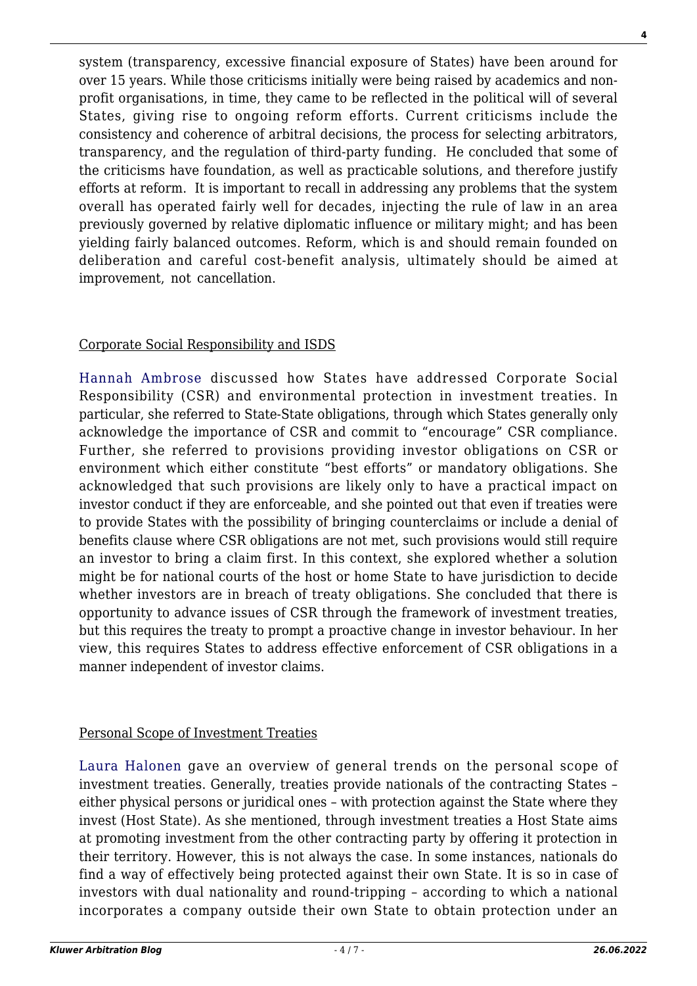system (transparency, excessive financial exposure of States) have been around for over 15 years. While those criticisms initially were being raised by academics and nonprofit organisations, in time, they came to be reflected in the political will of several States, giving rise to ongoing reform efforts. Current criticisms include the consistency and coherence of arbitral decisions, the process for selecting arbitrators, transparency, and the regulation of third-party funding. He concluded that some of the criticisms have foundation, as well as practicable solutions, and therefore justify efforts at reform. It is important to recall in addressing any problems that the system overall has operated fairly well for decades, injecting the rule of law in an area previously governed by relative diplomatic influence or military might; and has been yielding fairly balanced outcomes. Reform, which is and should remain founded on deliberation and careful cost-benefit analysis, ultimately should be aimed at improvement, not cancellation.

# Corporate Social Responsibility and ISDS

[Hannah Ambrose](https://www.herbertsmithfreehills.com/our-people/hannah-ambrose) discussed how States have addressed Corporate Social Responsibility (CSR) and environmental protection in investment treaties. In particular, she referred to State-State obligations, through which States generally only acknowledge the importance of CSR and commit to "encourage" CSR compliance. Further, she referred to provisions providing investor obligations on CSR or environment which either constitute "best efforts" or mandatory obligations. She acknowledged that such provisions are likely only to have a practical impact on investor conduct if they are enforceable, and she pointed out that even if treaties were to provide States with the possibility of bringing counterclaims or include a denial of benefits clause where CSR obligations are not met, such provisions would still require an investor to bring a claim first. In this context, she explored whether a solution might be for national courts of the host or home State to have jurisdiction to decide whether investors are in breach of treaty obligations. She concluded that there is opportunity to advance issues of CSR through the framework of investment treaties, but this requires the treaty to prompt a proactive change in investor behaviour. In her view, this requires States to address effective enforcement of CSR obligations in a manner independent of investor claims.

# Personal Scope of Investment Treaties

[Laura Halonen](https://wagner-arbitration.com/en/journal/autor/laura-halonen/) gave an overview of general trends on the personal scope of investment treaties. Generally, treaties provide nationals of the contracting States – either physical persons or juridical ones – with protection against the State where they invest (Host State). As she mentioned, through investment treaties a Host State aims at promoting investment from the other contracting party by offering it protection in their territory. However, this is not always the case. In some instances, nationals do find a way of effectively being protected against their own State. It is so in case of investors with dual nationality and round-tripping – according to which a national incorporates a company outside their own State to obtain protection under an

**4**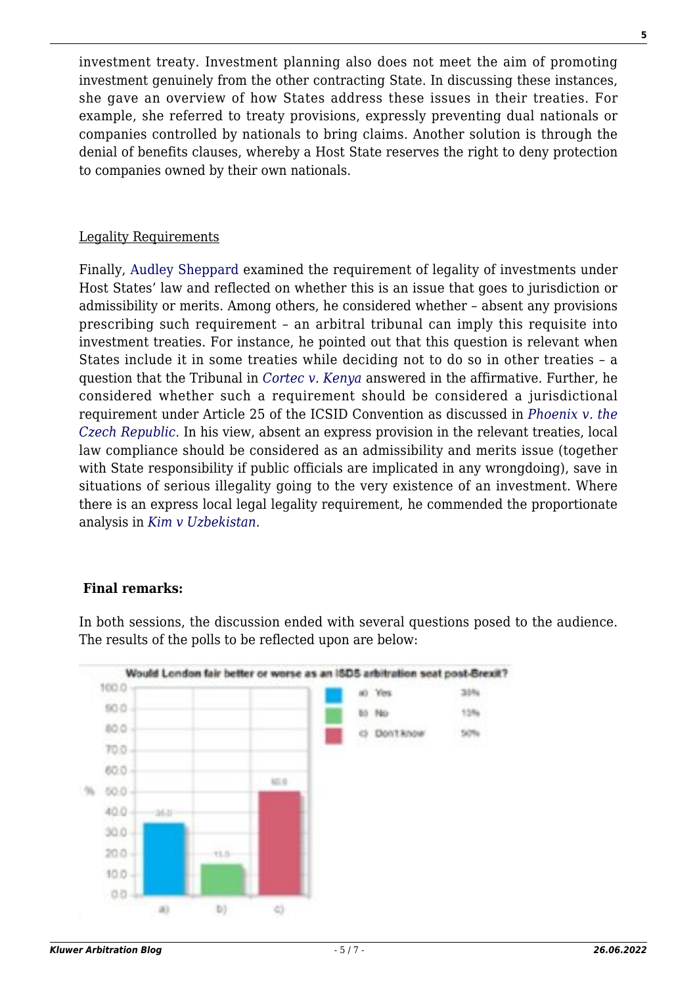investment treaty. Investment planning also does not meet the aim of promoting investment genuinely from the other contracting State. In discussing these instances, she gave an overview of how States address these issues in their treaties. For example, she referred to treaty provisions, expressly preventing dual nationals or companies controlled by nationals to bring claims. Another solution is through the denial of benefits clauses, whereby a Host State reserves the right to deny protection to companies owned by their own nationals.

#### Legality Requirements

Finally, [Audley Sheppard](https://www.cliffordchance.com/people_and_places/people/partners/gb/audley_sheppard.html) examined the requirement of legality of investments under Host States' law and reflected on whether this is an issue that goes to jurisdiction or admissibility or merits. Among others, he considered whether – absent any provisions prescribing such requirement – an arbitral tribunal can imply this requisite into investment treaties. For instance, he pointed out that this question is relevant when States include it in some treaties while deciding not to do so in other treaties – a question that the Tribunal in *[Cortec v. Kenya](https://www.italaw.com/sites/default/files/case-documents/italaw10051.pdf)* answered in the affirmative. Further, he considered whether such a requirement should be considered a jurisdictional requirement under Article 25 of the ICSID Convention as discussed in *[Phoenix v. the](https://www.italaw.com/cases/850) [Czech Republic.](https://www.italaw.com/cases/850)* In his view, absent an express provision in the relevant treaties, local law compliance should be considered as an admissibility and merits issue (together with State responsibility if public officials are implicated in any wrongdoing), save in situations of serious illegality going to the very existence of an investment. Where there is an express local legal legality requirement, he commended the proportionate analysis in *[Kim v Uzbekistan](https://www.italaw.com/sites/default/files/case-documents/italaw8549.pdf)*.

#### **Final remarks:**

In both sessions, the discussion ended with several questions posed to the audience. The results of the polls to be reflected upon are below:

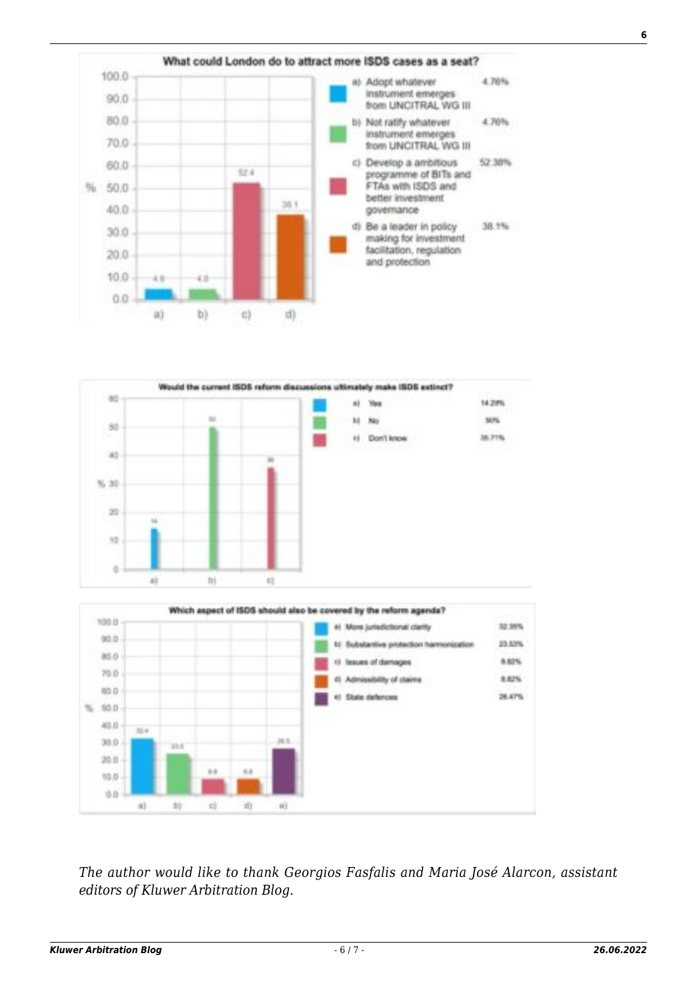





*The author would like to thank Georgios Fasfalis and Maria José Alarcon, assistant editors of Kluwer Arbitration Blog.*